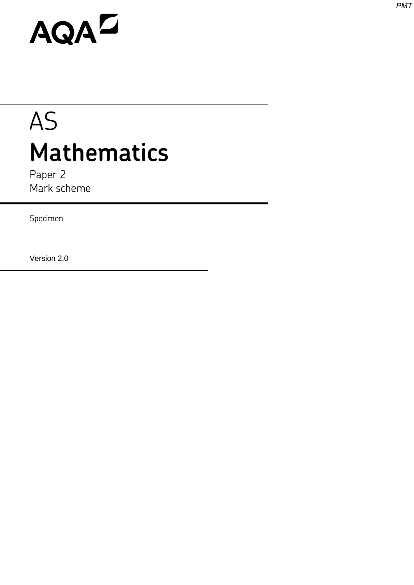# AQAD

## AS **Mathematics**

Paper 2 Mark scheme

Specimen

Version 2.0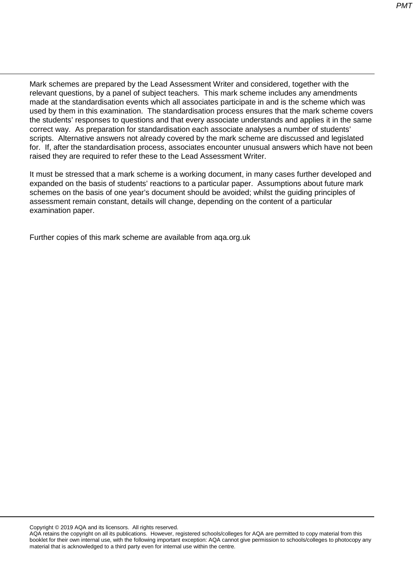Mark schemes are prepared by the Lead Assessment Writer and considered, together with the relevant questions, by a panel of subject teachers. This mark scheme includes any amendments made at the standardisation events which all associates participate in and is the scheme which was used by them in this examination. The standardisation process ensures that the mark scheme covers the students' responses to questions and that every associate understands and applies it in the same correct way. As preparation for standardisation each associate analyses a number of students' scripts. Alternative answers not already covered by the mark scheme are discussed and legislated for. If, after the standardisation process, associates encounter unusual answers which have not been raised they are required to refer these to the Lead Assessment Writer.

It must be stressed that a mark scheme is a working document, in many cases further developed and expanded on the basis of students' reactions to a particular paper. Assumptions about future mark schemes on the basis of one year's document should be avoided; whilst the guiding principles of assessment remain constant, details will change, depending on the content of a particular examination paper.

Further copies of this mark scheme are available from aqa.org.uk

Copyright © 2019 AQA and its licensors. All rights reserved.

AQA retains the copyright on all its publications. However, registered schools/colleges for AQA are permitted to copy material from this booklet for their own internal use, with the following important exception: AQA cannot give permission to schools/colleges to photocopy any material that is acknowledged to a third party even for internal use within the centre.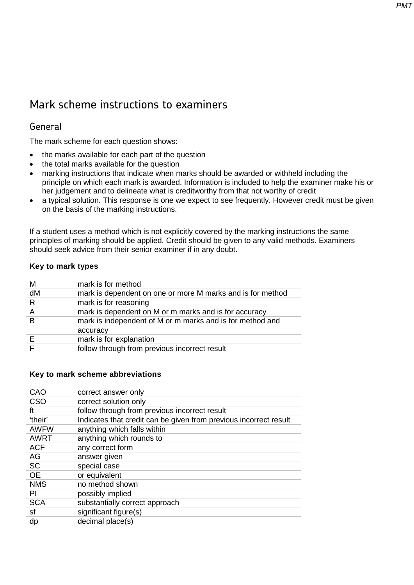### Mark scheme instructions to examiners

#### General

The mark scheme for each question shows:

- the marks available for each part of the question
- the total marks available for the question
- marking instructions that indicate when marks should be awarded or withheld including the principle on which each mark is awarded. Information is included to help the examiner make his or her judgement and to delineate what is creditworthy from that not worthy of credit
- a typical solution. This response is one we expect to see frequently. However credit must be given on the basis of the marking instructions.

If a student uses a method which is not explicitly covered by the marking instructions the same principles of marking should be applied. Credit should be given to any valid methods. Examiners should seek advice from their senior examiner if in any doubt.

#### **Key to mark types**

| M        | mark is for method                                                    |
|----------|-----------------------------------------------------------------------|
| dM       | mark is dependent on one or more M marks and is for method            |
| R        | mark is for reasoning                                                 |
| A        | mark is dependent on M or m marks and is for accuracy                 |
| <b>B</b> | mark is independent of M or m marks and is for method and<br>accuracy |
| E        | mark is for explanation                                               |
|          | follow through from previous incorrect result                         |

#### **Key to mark scheme abbreviations**

| CAO         | correct answer only                                               |
|-------------|-------------------------------------------------------------------|
| <b>CSO</b>  | correct solution only                                             |
| ft          | follow through from previous incorrect result                     |
| 'their'     | Indicates that credit can be given from previous incorrect result |
| <b>AWFW</b> | anything which falls within                                       |
| <b>AWRT</b> | anything which rounds to                                          |
| <b>ACF</b>  | any correct form                                                  |
| AG          | answer given                                                      |
| <b>SC</b>   | special case                                                      |
| <b>OE</b>   | or equivalent                                                     |
| <b>NMS</b>  | no method shown                                                   |
| ΡI          | possibly implied                                                  |
| <b>SCA</b>  | substantially correct approach                                    |
| sf          | significant figure(s)                                             |
| dp          | decimal place(s)                                                  |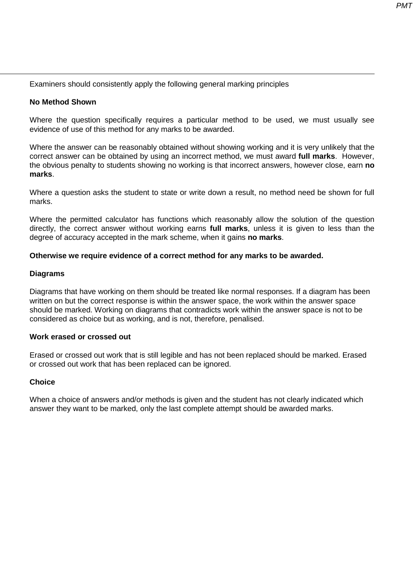Examiners should consistently apply the following general marking principles

#### **No Method Shown**

Where the question specifically requires a particular method to be used, we must usually see evidence of use of this method for any marks to be awarded.

Where the answer can be reasonably obtained without showing working and it is very unlikely that the correct answer can be obtained by using an incorrect method, we must award **full marks**. However, the obvious penalty to students showing no working is that incorrect answers, however close, earn **no marks**.

Where a question asks the student to state or write down a result, no method need be shown for full marks.

Where the permitted calculator has functions which reasonably allow the solution of the question directly, the correct answer without working earns **full marks**, unless it is given to less than the degree of accuracy accepted in the mark scheme, when it gains **no marks**.

#### **Otherwise we require evidence of a correct method for any marks to be awarded.**

#### **Diagrams**

Diagrams that have working on them should be treated like normal responses. If a diagram has been written on but the correct response is within the answer space, the work within the answer space should be marked. Working on diagrams that contradicts work within the answer space is not to be considered as choice but as working, and is not, therefore, penalised.

#### **Work erased or crossed out**

Erased or crossed out work that is still legible and has not been replaced should be marked. Erased or crossed out work that has been replaced can be ignored.

#### **Choice**

When a choice of answers and/or methods is given and the student has not clearly indicated which answer they want to be marked, only the last complete attempt should be awarded marks.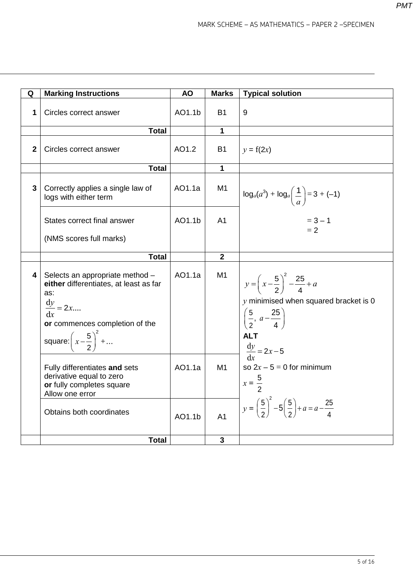| Q              | <b>Marking Instructions</b>                                                                                                                                                                               | <b>AO</b> | <b>Marks</b>   | <b>Typical solution</b>                                                                                                                                                                    |
|----------------|-----------------------------------------------------------------------------------------------------------------------------------------------------------------------------------------------------------|-----------|----------------|--------------------------------------------------------------------------------------------------------------------------------------------------------------------------------------------|
| 1              | Circles correct answer                                                                                                                                                                                    | AO1.1b    | Β1             | 9                                                                                                                                                                                          |
|                | <b>Total</b>                                                                                                                                                                                              |           | 1              |                                                                                                                                                                                            |
| $\overline{2}$ | Circles correct answer                                                                                                                                                                                    | AO1.2     | B1             | $y = f(2x)$                                                                                                                                                                                |
|                | <b>Total</b>                                                                                                                                                                                              |           | 1              |                                                                                                                                                                                            |
| 3              | Correctly applies a single law of<br>logs with either term                                                                                                                                                | AO1.1a    | M <sub>1</sub> | $\log_a(a^3) + \log_a\left(\frac{1}{a}\right) = 3 + (-1)$                                                                                                                                  |
|                | States correct final answer                                                                                                                                                                               | AO1.1b    | A <sub>1</sub> | $= 3 - 1$<br>$= 2$                                                                                                                                                                         |
|                | (NMS scores full marks)                                                                                                                                                                                   |           |                |                                                                                                                                                                                            |
|                | <b>Total</b>                                                                                                                                                                                              |           | $\mathbf{2}$   |                                                                                                                                                                                            |
| 4              | Selects an appropriate method -<br>either differentiates, at least as far<br>as:<br>$\frac{\mathrm{d}y}{\mathrm{d}x} = 2x$<br>or commences completion of the<br>square: $\left(x-\frac{5}{2}\right)^2 + $ | AO1.1a    | M <sub>1</sub> | $y = \left(x - \frac{5}{2}\right)^2 - \frac{25}{4} + a$<br>$y$ minimised when squared bracket is 0<br>$\left(\frac{5}{2}, a-\frac{25}{4}\right)$<br><b>ALT</b><br>$\frac{dy}{dx} = 2x - 5$ |
|                | Fully differentiates and sets<br>derivative equal to zero<br>or fully completes square<br>Allow one error                                                                                                 | AO1.1a    | M <sub>1</sub> | so $2x - 5 = 0$ for minimum<br>$x=\frac{5}{2}$                                                                                                                                             |
|                | Obtains both coordinates                                                                                                                                                                                  | AO1.1b    | A <sub>1</sub> | $y = \left(\frac{5}{2}\right)^2 - 5\left(\frac{5}{2}\right) + a = a - \frac{25}{4}$                                                                                                        |
|                | <b>Total</b>                                                                                                                                                                                              |           | 3              |                                                                                                                                                                                            |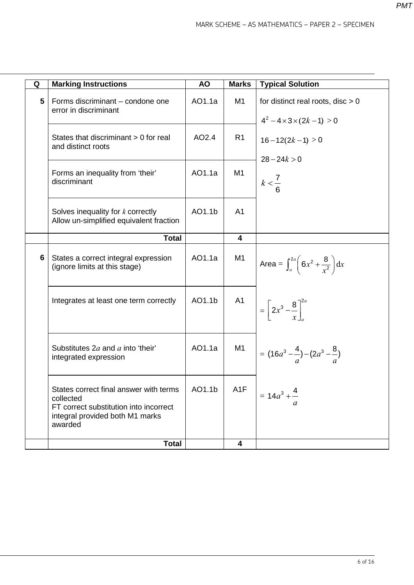| Q | <b>Marking Instructions</b>                                                                                                                 | <b>AO</b> | <b>Marks</b>            | <b>Typical Solution</b>                                                       |
|---|---------------------------------------------------------------------------------------------------------------------------------------------|-----------|-------------------------|-------------------------------------------------------------------------------|
| 5 | Forms discriminant - condone one<br>error in discriminant                                                                                   | AO1.1a    | M <sub>1</sub>          | for distinct real roots, disc $> 0$<br>$4^2 - 4 \times 3 \times (2k - 1) > 0$ |
|   | States that discriminant > 0 for real<br>and distinct roots                                                                                 | AO2.4     | R <sub>1</sub>          | $16-12(2k-1) > 0$<br>$28 - 24k > 0$                                           |
|   | Forms an inequality from 'their'<br>discriminant                                                                                            | AO1.1a    | M <sub>1</sub>          | $k < \frac{7}{6}$                                                             |
|   | Solves inequality for $k$ correctly<br>Allow un-simplified equivalent fraction                                                              | AO1.1b    | A <sub>1</sub>          |                                                                               |
|   | <b>Total</b>                                                                                                                                |           | $\overline{\mathbf{4}}$ |                                                                               |
| 6 | States a correct integral expression<br>(ignore limits at this stage)                                                                       | AO1.1a    | M1                      | Area = $\int_a^{2a} \left(6x^2 + \frac{8}{x^2}\right) dx$                     |
|   | Integrates at least one term correctly                                                                                                      | AO1.1b    | A <sub>1</sub>          | $=\left[2x^3-\frac{8}{x}\right]^{\infty}$                                     |
|   | Substitutes $2a$ and a into 'their'<br>integrated expression                                                                                | AO1.1a    | M <sub>1</sub>          | = $(16a^3 - \frac{4}{a}) - (2a^3 - \frac{8}{a})$                              |
|   | States correct final answer with terms<br>collected<br>FT correct substitution into incorrect<br>integral provided both M1 marks<br>awarded | AO1.1b    | A1F                     | $= 14a^3 + \frac{4}{1}$                                                       |
|   | <b>Total</b>                                                                                                                                |           | 4                       |                                                                               |

6 of 16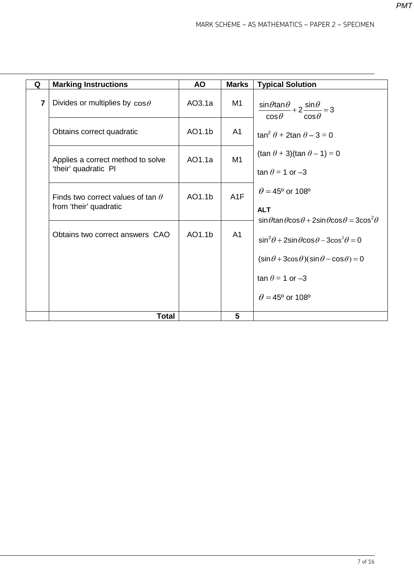| Q              | <b>Marking Instructions</b>                                        | <b>AO</b> | <b>Marks</b>     | <b>Typical Solution</b>                                                                                                                                                          |
|----------------|--------------------------------------------------------------------|-----------|------------------|----------------------------------------------------------------------------------------------------------------------------------------------------------------------------------|
| $\overline{7}$ | Divides or multiplies by $cos\theta$                               | AO3.1a    | M1               | $\frac{\sin\theta\tan\theta}{2} + 2\frac{\sin\theta}{2} = 3$<br>$cos \theta$<br>$cos \theta$                                                                                     |
|                | Obtains correct quadratic                                          | AO1.1b    | A1               | $\tan^2 \theta + 2\tan \theta - 3 = 0$                                                                                                                                           |
|                | Applies a correct method to solve<br>'their' quadratic PI          | AO1.1a    | M1               | $(\tan \theta + 3)(\tan \theta - 1) = 0$<br>tan $\theta$ = 1 or -3                                                                                                               |
|                | Finds two correct values of tan $\theta$<br>from 'their' quadratic | AO1.1b    | A <sub>1</sub> F | $\theta$ = 45° or 108°<br><b>ALT</b>                                                                                                                                             |
|                | Obtains two correct answers CAO                                    | AO1.1b    | A <sub>1</sub>   | $\sin\theta$ tan $\theta$ cos $\theta$ + 2sin $\theta$ cos $\theta$ = 3cos <sup>2</sup> $\theta$<br>$\sin^2\theta$ + 2sin $\theta$ cos $\theta$ – 3cos <sup>2</sup> $\theta$ = 0 |
|                |                                                                    |           |                  | $(\sin \theta + 3\cos \theta)(\sin \theta - \cos \theta) = 0$<br>tan $\theta$ = 1 or -3                                                                                          |
|                |                                                                    |           |                  | $\theta$ = 45° or 108°                                                                                                                                                           |
|                | <b>Total</b>                                                       |           | 5                |                                                                                                                                                                                  |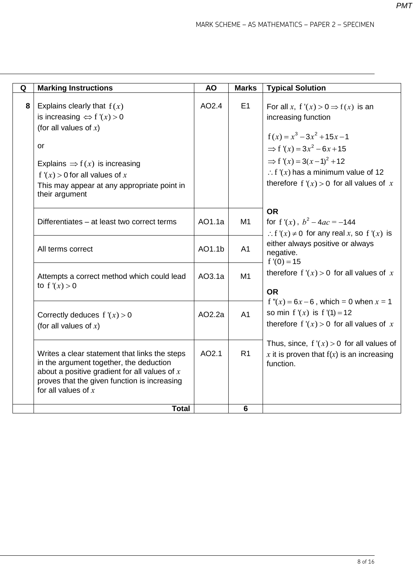| Q | <b>Marking Instructions</b>                                                                                                                                                                                                                                     | <b>AO</b>        | <b>Marks</b>                     | <b>Typical Solution</b>                                                                                                                                                                                                                                                                       |
|---|-----------------------------------------------------------------------------------------------------------------------------------------------------------------------------------------------------------------------------------------------------------------|------------------|----------------------------------|-----------------------------------------------------------------------------------------------------------------------------------------------------------------------------------------------------------------------------------------------------------------------------------------------|
| 8 | Explains clearly that $f(x)$<br>is increasing $\Leftrightarrow$ f '(x) > 0<br>(for all values of $x$ )<br>or<br>Explains $\Rightarrow$ f(x) is increasing<br>f ' $(x)$ > 0 for all values of x<br>This may appear at any appropriate point in<br>their argument | AO2.4            | E1                               | For all x, $f'(x) > 0 \Rightarrow f(x)$ is an<br>increasing function<br>$f(x) = x^3 - 3x^2 + 15x - 1$<br>$\Rightarrow$ f'(x) = 3x <sup>2</sup> – 6x + 15<br>$\Rightarrow$ f'(x) = 3(x-1) <sup>2</sup> + 12<br>: f '(x) has a minimum value of 12<br>therefore $f'(x) > 0$ for all values of x |
|   | Differentiates - at least two correct terms<br>All terms correct                                                                                                                                                                                                | AO1.1a<br>AO1.1b | M <sub>1</sub><br>A <sub>1</sub> | <b>OR</b><br>for f'(x), $b^2 - 4ac = -144$<br>: f '(x) $\neq$ 0 for any real x, so f '(x) is<br>either always positive or always<br>negative.                                                                                                                                                 |
|   | Attempts a correct method which could lead<br>to $f'(x) > 0$                                                                                                                                                                                                    | AO3.1a           | M1                               | $f'(0) = 15$<br>therefore $f'(x) > 0$ for all values of x<br><b>OR</b>                                                                                                                                                                                                                        |
|   | Correctly deduces $f'(x) > 0$<br>(for all values of $x$ )                                                                                                                                                                                                       | AO2.2a           | A <sub>1</sub>                   | f " $(x) = 6x - 6$ , which = 0 when $x = 1$<br>so min $f'(x)$ is $f'(1) = 12$<br>therefore $f'(x) > 0$ for all values of x                                                                                                                                                                    |
|   | Writes a clear statement that links the steps<br>in the argument together, the deduction<br>about a positive gradient for all values of $x$<br>proves that the given function is increasing<br>for all values of $x$                                            | AO2.1            | R <sub>1</sub>                   | Thus, since, $f'(x) > 0$ for all values of<br>x it is proven that $f(x)$ is an increasing<br>function.                                                                                                                                                                                        |
|   | <b>Total</b>                                                                                                                                                                                                                                                    |                  | $6\phantom{1}6$                  |                                                                                                                                                                                                                                                                                               |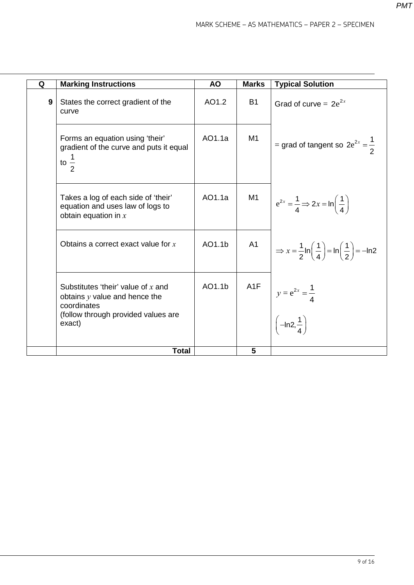| Q | <b>Marking Instructions</b>                                                                                                             | <b>AO</b> | <b>Marks</b> | <b>Typical Solution</b>                                                                              |
|---|-----------------------------------------------------------------------------------------------------------------------------------------|-----------|--------------|------------------------------------------------------------------------------------------------------|
| 9 | States the correct gradient of the<br>curve                                                                                             | AO1.2     | <b>B1</b>    | Grad of curve = $2e^{2x}$                                                                            |
|   | Forms an equation using 'their'<br>gradient of the curve and puts it equal<br>to $\frac{1}{2}$                                          | AO1.1a    | M1           | = grad of tangent so $2e^{2x} = \frac{1}{2}$                                                         |
|   | Takes a log of each side of 'their'<br>equation and uses law of logs to<br>obtain equation in $x$                                       | AO1.1a    | M1           | $\left  e^{2x} = \frac{1}{4} \Rightarrow 2x = \ln\left(\frac{1}{4}\right) \right $                   |
|   | Obtains a correct exact value for $x$                                                                                                   | AO1.1b    | A1           | $\Rightarrow$ $x = \frac{1}{2}$ ln $\left(\frac{1}{4}\right) =$ ln $\left(\frac{1}{2}\right) =$ -ln2 |
|   | Substitutes 'their' value of $x$ and<br>obtains $y$ value and hence the<br>coordinates<br>(follow through provided values are<br>exact) | AO1.1b    | A1F          | $y = e^{2x} = \frac{1}{4}$<br>$\left(-\ln 2, \frac{1}{4}\right)$                                     |
|   | <b>Total</b>                                                                                                                            |           | 5            |                                                                                                      |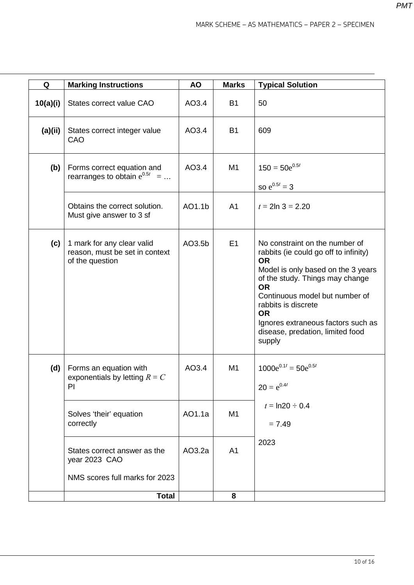| Q        | <b>Marking Instructions</b>                                                     | <b>AO</b> | <b>Marks</b>   | <b>Typical Solution</b>                                                                                                                                                                                                                                                                                                              |
|----------|---------------------------------------------------------------------------------|-----------|----------------|--------------------------------------------------------------------------------------------------------------------------------------------------------------------------------------------------------------------------------------------------------------------------------------------------------------------------------------|
| 10(a)(i) | States correct value CAO                                                        | AO3.4     | <b>B1</b>      | 50                                                                                                                                                                                                                                                                                                                                   |
| (a)(ii)  | States correct integer value<br>CAO                                             | AO3.4     | <b>B1</b>      | 609                                                                                                                                                                                                                                                                                                                                  |
| (b)      | Forms correct equation and<br>rearranges to obtain $e^{0.5t}$ =                 | AO3.4     | M <sub>1</sub> | $150 = 50e^{0.5t}$<br>so $e^{0.5t} = 3$                                                                                                                                                                                                                                                                                              |
|          | Obtains the correct solution.<br>Must give answer to 3 sf                       | AO1.1b    | A <sub>1</sub> | $t = 2\ln 3 = 2.20$                                                                                                                                                                                                                                                                                                                  |
| (c)      | 1 mark for any clear valid<br>reason, must be set in context<br>of the question | AO3.5b    | E1             | No constraint on the number of<br>rabbits (ie could go off to infinity)<br><b>OR</b><br>Model is only based on the 3 years<br>of the study. Things may change<br><b>OR</b><br>Continuous model but number of<br>rabbits is discrete<br><b>OR</b><br>Ignores extraneous factors such as<br>disease, predation, limited food<br>supply |
| (d)      | Forms an equation with<br>exponentials by letting $R = C$<br>PI                 | AO3.4     | M <sub>1</sub> | $1000e^{0.1t} = 50e^{0.5t}$<br>$20 = e^{0.4t}$                                                                                                                                                                                                                                                                                       |
|          | Solves 'their' equation<br>correctly                                            | AO1.1a    | M <sub>1</sub> | $t = \ln 20 \div 0.4$<br>$= 7.49$                                                                                                                                                                                                                                                                                                    |
|          | States correct answer as the<br>year 2023 CAO                                   | AO3.2a    | A <sub>1</sub> | 2023                                                                                                                                                                                                                                                                                                                                 |
|          | NMS scores full marks for 2023                                                  |           |                |                                                                                                                                                                                                                                                                                                                                      |
|          | <b>Total</b>                                                                    |           | 8              |                                                                                                                                                                                                                                                                                                                                      |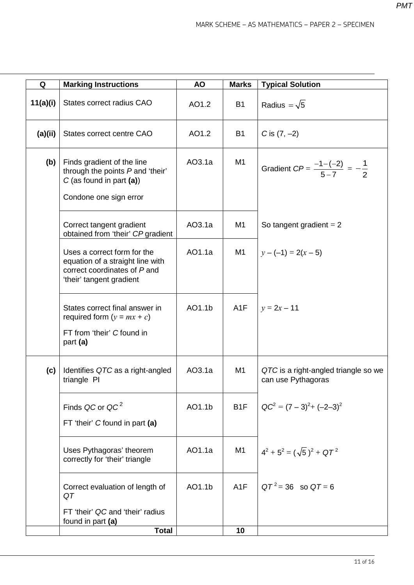| Q        | <b>Marking Instructions</b>                                                                                                 | <b>AO</b> | <b>Marks</b>     | <b>Typical Solution</b>                                    |
|----------|-----------------------------------------------------------------------------------------------------------------------------|-----------|------------------|------------------------------------------------------------|
| 11(a)(i) | States correct radius CAO                                                                                                   | AO1.2     | <b>B1</b>        | Radius = $\sqrt{5}$                                        |
| (a)(ii)  | States correct centre CAO                                                                                                   | AO1.2     | <b>B1</b>        | C is $(7, -2)$                                             |
| (b)      | Finds gradient of the line<br>through the points P and 'their'<br>$C$ (as found in part (a))<br>Condone one sign error      | AO3.1a    | M <sub>1</sub>   | Gradient $CP = \frac{-1-(-2)}{5-7} = -\frac{1}{2}$         |
|          | Correct tangent gradient<br>obtained from 'their' CP gradient                                                               | AO3.1a    | M <sub>1</sub>   | So tangent gradient $= 2$                                  |
|          | Uses a correct form for the<br>equation of a straight line with<br>correct coordinates of P and<br>'their' tangent gradient | AO1.1a    | M <sub>1</sub>   | $y - (-1) = 2(x - 5)$                                      |
|          | States correct final answer in<br>required form $(y = mx + c)$<br>FT from 'their' C found in<br>part (a)                    | AO1.1b    | A <sub>1</sub> F | $y = 2x - 11$                                              |
| (c)      | Identifies QTC as a right-angled<br>triangle PI                                                                             | AO3.1a    | M <sub>1</sub>   | QTC is a right-angled triangle so we<br>can use Pythagoras |
|          | Finds QC or QC <sup>2</sup><br>FT 'their' C found in part (a)                                                               | AO1.1b    | B <sub>1</sub> F | $QC^2 = (7-3)^2 + (-2-3)^2$                                |
|          | Uses Pythagoras' theorem<br>correctly for 'their' triangle                                                                  | AO1.1a    | M1               | $4^2 + 5^2 = (\sqrt{5})^2 + 9T^2$                          |
|          | Correct evaluation of length of<br>QT                                                                                       | AO1.1b    | A <sub>1</sub> F | $QT^2 = 36$ so $QT = 6$                                    |
|          | FT 'their' QC and 'their' radius<br>found in part (a)<br><b>Total</b>                                                       |           | 10               |                                                            |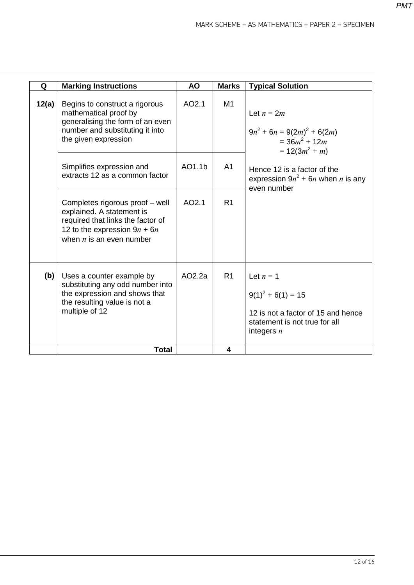| Q     | <b>Marking Instructions</b>                                                                                                                                       | <b>AO</b> | <b>Marks</b>   | <b>Typical Solution</b>                                                                                                      |
|-------|-------------------------------------------------------------------------------------------------------------------------------------------------------------------|-----------|----------------|------------------------------------------------------------------------------------------------------------------------------|
| 12(a) | Begins to construct a rigorous<br>mathematical proof by<br>generalising the form of an even<br>number and substituting it into<br>the given expression            | AO2.1     | M1             | Let $n = 2m$<br>$9n^2 + 6n = 9(2m)^2 + 6(2m)$<br>$=36m^2+12m$<br>$= 12(3m^2 + m)$                                            |
|       | Simplifies expression and<br>extracts 12 as a common factor                                                                                                       | AO1.1b    | A <sub>1</sub> | Hence 12 is a factor of the<br>expression $9n^2 + 6n$ when <i>n</i> is any<br>even number                                    |
|       | Completes rigorous proof - well<br>explained. A statement is<br>required that links the factor of<br>12 to the expression $9n + 6n$<br>when $n$ is an even number | AO2.1     | R <sub>1</sub> |                                                                                                                              |
| (b)   | Uses a counter example by<br>substituting any odd number into<br>the expression and shows that<br>the resulting value is not a<br>multiple of 12                  | AO2.2a    | R <sub>1</sub> | Let $n = 1$<br>$9(1)^{2} + 6(1) = 15$<br>12 is not a factor of 15 and hence<br>statement is not true for all<br>integers $n$ |
|       | <b>Total</b>                                                                                                                                                      |           | 4              |                                                                                                                              |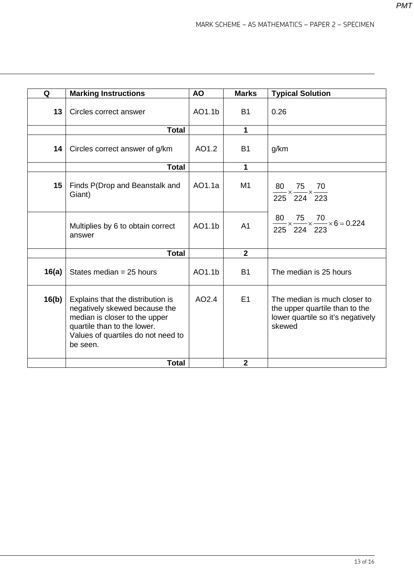| Q               | <b>Marking Instructions</b>                                                                                                                                                          | <b>AO</b> | <b>Marks</b>   | <b>Typical Solution</b>                                                                                       |
|-----------------|--------------------------------------------------------------------------------------------------------------------------------------------------------------------------------------|-----------|----------------|---------------------------------------------------------------------------------------------------------------|
| 13              | Circles correct answer                                                                                                                                                               | AO1.1b    | <b>B1</b>      | 0.26                                                                                                          |
|                 | <b>Total</b>                                                                                                                                                                         |           | $\mathbf 1$    |                                                                                                               |
| 14 <sup>1</sup> | Circles correct answer of g/km                                                                                                                                                       | AO1.2     | <b>B1</b>      | g/km                                                                                                          |
|                 | <b>Total</b>                                                                                                                                                                         |           | $\mathbf{1}$   |                                                                                                               |
| 15              | Finds P(Drop and Beanstalk and<br>Giant)                                                                                                                                             | AO1.1a    | M1             | 80<br>$\frac{30}{10} \times \frac{75}{10} \times \frac{70}{100}$<br>225 224 223                               |
|                 | Multiplies by 6 to obtain correct<br>answer                                                                                                                                          | AO1.1b    | A <sub>1</sub> | $\frac{80}{225} \times \frac{75}{224} \times \frac{70}{223} \times 6 = 0.224$                                 |
|                 | <b>Total</b>                                                                                                                                                                         |           | $\overline{2}$ |                                                                                                               |
| 16(a)           | States median $= 25$ hours                                                                                                                                                           | AO1.1b    | <b>B1</b>      | The median is 25 hours                                                                                        |
| 16(b)           | Explains that the distribution is<br>negatively skewed because the<br>median is closer to the upper<br>quartile than to the lower.<br>Values of quartiles do not need to<br>be seen. | AO2.4     | E1             | The median is much closer to<br>the upper quartile than to the<br>lower quartile so it's negatively<br>skewed |
|                 | <b>Total</b>                                                                                                                                                                         |           | $\mathbf{2}$   |                                                                                                               |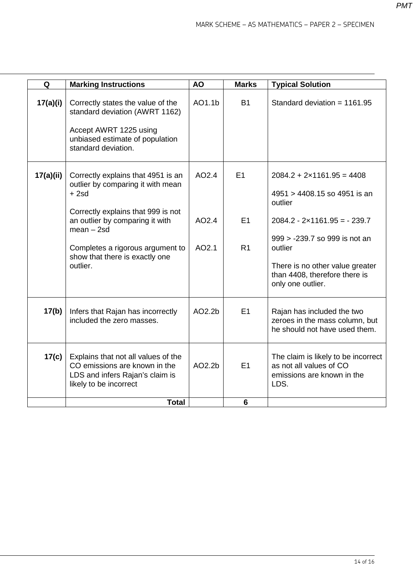| Q         | <b>Marking Instructions</b>                                                                                                                                                                                                                                  | <b>AO</b>               | <b>Marks</b>               | <b>Typical Solution</b>                                                                                                                                                                                                                                    |
|-----------|--------------------------------------------------------------------------------------------------------------------------------------------------------------------------------------------------------------------------------------------------------------|-------------------------|----------------------------|------------------------------------------------------------------------------------------------------------------------------------------------------------------------------------------------------------------------------------------------------------|
| 17(a)(i)  | Correctly states the value of the<br>standard deviation (AWRT 1162)<br>Accept AWRT 1225 using<br>unbiased estimate of population<br>standard deviation.                                                                                                      | AO1.1b                  | <b>B1</b>                  | Standard deviation = $1161.95$                                                                                                                                                                                                                             |
| 17(a)(ii) | Correctly explains that 4951 is an<br>outlier by comparing it with mean<br>$+2sd$<br>Correctly explains that 999 is not<br>an outlier by comparing it with<br>$mean - 2sd$<br>Completes a rigorous argument to<br>show that there is exactly one<br>outlier. | AO2.4<br>AO2.4<br>AO2.1 | E1<br>E1<br>R <sub>1</sub> | $2084.2 + 2 \times 1161.95 = 4408$<br>4951 > 4408.15 so 4951 is an<br>outlier<br>$2084.2 - 2 \times 1161.95 = -239.7$<br>999 > -239.7 so 999 is not an<br>outlier<br>There is no other value greater<br>than 4408, therefore there is<br>only one outlier. |
| 17(b)     | Infers that Rajan has incorrectly<br>included the zero masses.                                                                                                                                                                                               | AO2.2 <sub>b</sub>      | E1                         | Rajan has included the two<br>zeroes in the mass column, but<br>he should not have used them.                                                                                                                                                              |
| 17(c)     | Explains that not all values of the<br>CO emissions are known in the<br>LDS and infers Rajan's claim is<br>likely to be incorrect                                                                                                                            | AO2.2b                  | E1                         | The claim is likely to be incorrect<br>as not all values of CO<br>emissions are known in the<br>LDS.                                                                                                                                                       |
|           | <b>Total</b>                                                                                                                                                                                                                                                 |                         | 6                          |                                                                                                                                                                                                                                                            |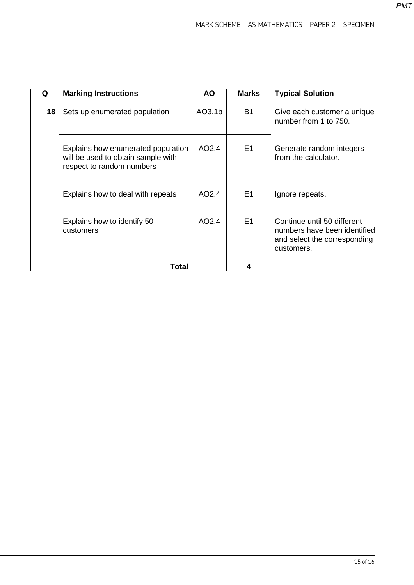| Q | <b>Marking Instructions</b>                                                                           | <b>AO</b>          | <b>Marks</b>   | <b>Typical Solution</b>                                                                                   |
|---|-------------------------------------------------------------------------------------------------------|--------------------|----------------|-----------------------------------------------------------------------------------------------------------|
|   | 18<br>Sets up enumerated population                                                                   | AO3.1 <sub>b</sub> | B <sub>1</sub> | Give each customer a unique<br>number from 1 to 750.                                                      |
|   | Explains how enumerated population<br>will be used to obtain sample with<br>respect to random numbers | AO2.4              | E1             | Generate random integers<br>from the calculator.                                                          |
|   | Explains how to deal with repeats                                                                     | AO2.4              | E1             | Ignore repeats.                                                                                           |
|   | Explains how to identify 50<br>customers                                                              | AO2.4              | E1             | Continue until 50 different<br>numbers have been identified<br>and select the corresponding<br>customers. |
|   | Total                                                                                                 |                    | 4              |                                                                                                           |